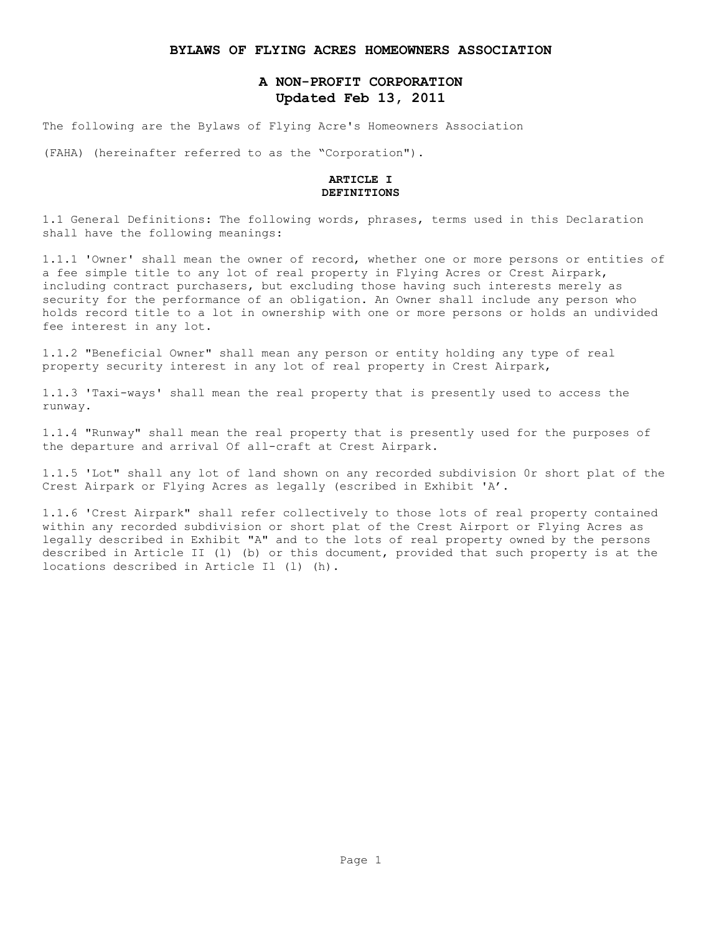### **BYLAWS OF FLYING ACRES HOMEOWNERS ASSOCIATION**

# **A NON-PROFIT CORPORATION Updated Feb 13, 2011**

The following are the Bylaws of Flying Acre's Homeowners Association

(FAHA) (hereinafter referred to as the "Corporation").

### **ARTICLE I DEFINITIONS**

1.1 General Definitions: The following words, phrases, terms used in this Declaration shall have the following meanings:

1.1.1 'Owner' shall mean the owner of record, whether one or more persons or entities of a fee simple title to any lot of real property in Flying Acres or Crest Airpark, including contract purchasers, but excluding those having such interests merely as security for the performance of an obligation. An Owner shall include any person who holds record title to a lot in ownership with one or more persons or holds an undivided fee interest in any lot.

1.1.2 "Beneficial Owner" shall mean any person or entity holding any type of real property security interest in any lot of real property in Crest Airpark,

1.1.3 'Taxi-ways' shall mean the real property that is presently used to access the runway.

1.1.4 "Runway" shall mean the real property that is presently used for the purposes of the departure and arrival Of all-craft at Crest Airpark.

1.1.5 'Lot" shall any lot of land shown on any recorded subdivision 0r short plat of the Crest Airpark or Flying Acres as legally (escribed in Exhibit 'A'.

1.1.6 'Crest Airpark" shall refer collectively to those lots of real property contained within any recorded subdivision or short plat of the Crest Airport or Flying Acres as legally described in Exhibit "A" and to the lots of real property owned by the persons described in Article II (l) (b) or this document, provided that such property is at the locations described in Article Il (l) (h).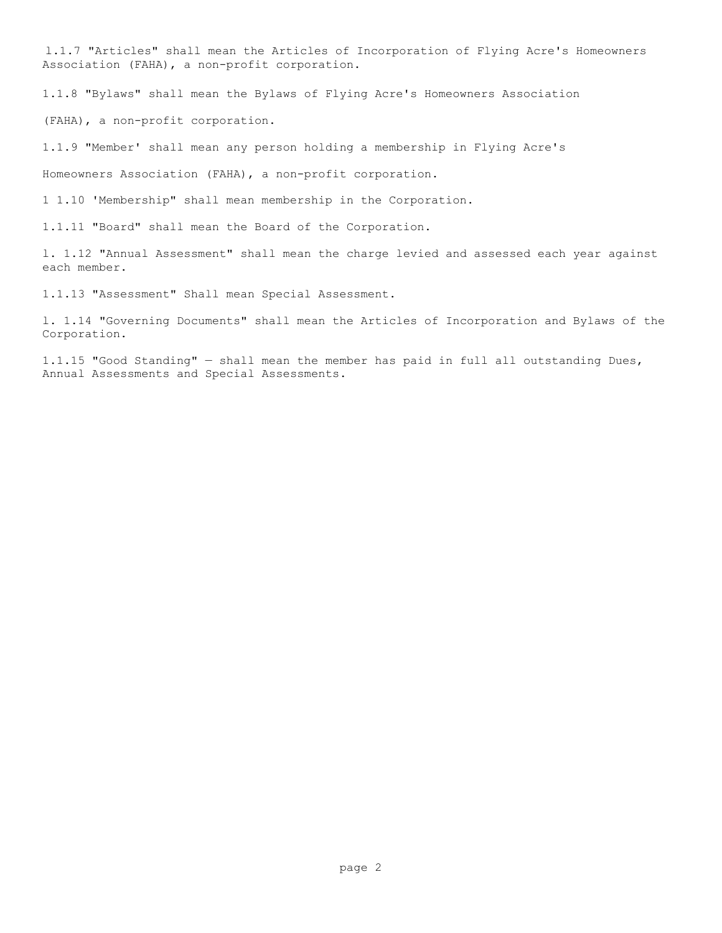l.1.7 "Articles" shall mean the Articles of Incorporation of Flying Acre's Homeowners Association (FAHA), a non-profit corporation.

1.1.8 "Bylaws" shall mean the Bylaws of Flying Acre's Homeowners Association

(FAHA), a non-profit corporation.

1.1.9 "Member' shall mean any person holding a membership in Flying Acre's

Homeowners Association (FAHA), a non-profit corporation.

1 1.10 'Membership" shall mean membership in the Corporation.

1.1.11 "Board" shall mean the Board of the Corporation.

l. 1.12 "Annual Assessment" shall mean the charge levied and assessed each year against each member.

1.1.13 "Assessment" Shall mean Special Assessment.

l. 1.14 "Governing Documents" shall mean the Articles of Incorporation and Bylaws of the Corporation.

1.1.15 "Good Standing" — shall mean the member has paid in full all outstanding Dues, Annual Assessments and Special Assessments.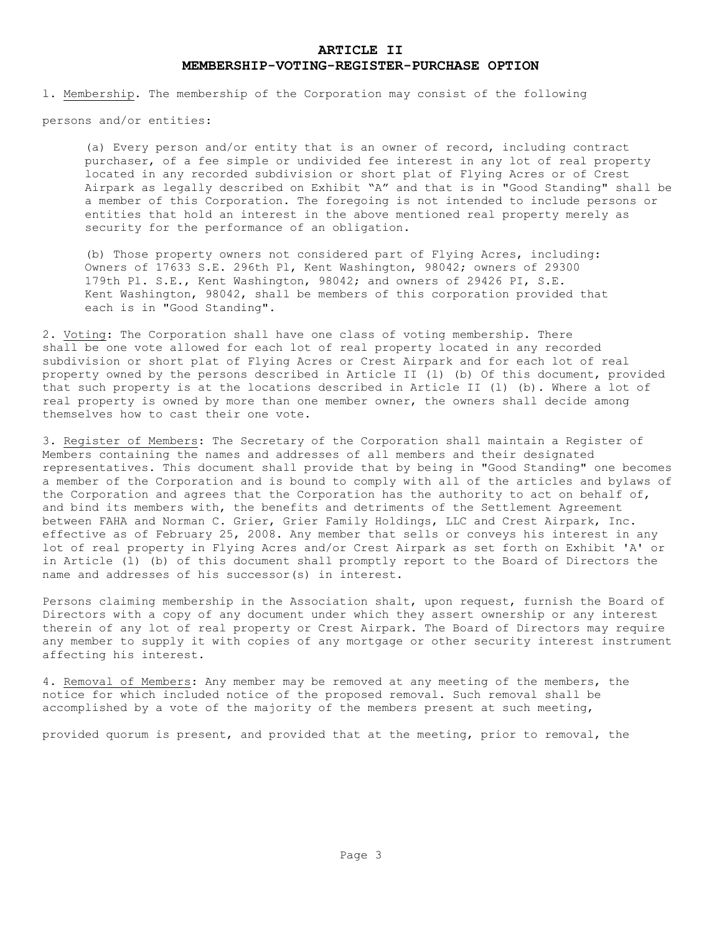# **ARTICLE II MEMBERSHIP-VOTING-REGISTER-PURCHASE OPTION**

l. Membership. The membership of the Corporation may consist of the following

persons and/or entities:

(a) Every person and/or entity that is an owner of record, including contract purchaser, of a fee simple or undivided fee interest in any lot of real property located in any recorded subdivision or short plat of Flying Acres or of Crest Airpark as legally described on Exhibit "A" and that is in "Good Standing" shall be a member of this Corporation. The foregoing is not intended to include persons or entities that hold an interest in the above mentioned real property merely as security for the performance of an obligation.

(b) Those property owners not considered part of Flying Acres, including: Owners of 17633 S.E. 296th Pl, Kent Washington, 98042; owners of 29300 179th Pl. S.E., Kent Washington, 98042; and owners of 29426 PI, S.E. Kent Washington, 98042, shall be members of this corporation provided that each is in "Good Standing".

2. Voting: The Corporation shall have one class of voting membership. There shall be one vote allowed for each lot of real property located in any recorded subdivision or short plat of Flying Acres or Crest Airpark and for each lot of real property owned by the persons described in Article II (l) (b) Of this document, provided that such property is at the locations described in Article II (l) (b). Where a lot of real property is owned by more than one member owner, the owners shall decide among themselves how to cast their one vote.

3. Register of Members: The Secretary of the Corporation shall maintain a Register of Members containing the names and addresses of all members and their designated representatives. This document shall provide that by being in "Good Standing" one becomes a member of the Corporation and is bound to comply with all of the articles and bylaws of the Corporation and agrees that the Corporation has the authority to act on behalf of, and bind its members with, the benefits and detriments of the Settlement Agreement between FAHA and Norman C. Grier, Grier Family Holdings, LLC and Crest Airpark, Inc. effective as of February 25, 2008. Any member that sells or conveys his interest in any lot of real property in Flying Acres and/or Crest Airpark as set forth on Exhibit 'A' or in Article (l) (b) of this document shall promptly report to the Board of Directors the name and addresses of his successor(s) in interest.

Persons claiming membership in the Association shalt, upon request, furnish the Board of Directors with a copy of any document under which they assert ownership or any interest therein of any lot of real property or Crest Airpark. The Board of Directors may require any member to supply it with copies of any mortgage or other security interest instrument affecting his interest.

4. Removal of Members: Any member may be removed at any meeting of the members, the notice for which included notice of the proposed removal. Such removal shall be accomplished by a vote of the majority of the members present at such meeting,

provided quorum is present, and provided that at the meeting, prior to removal, the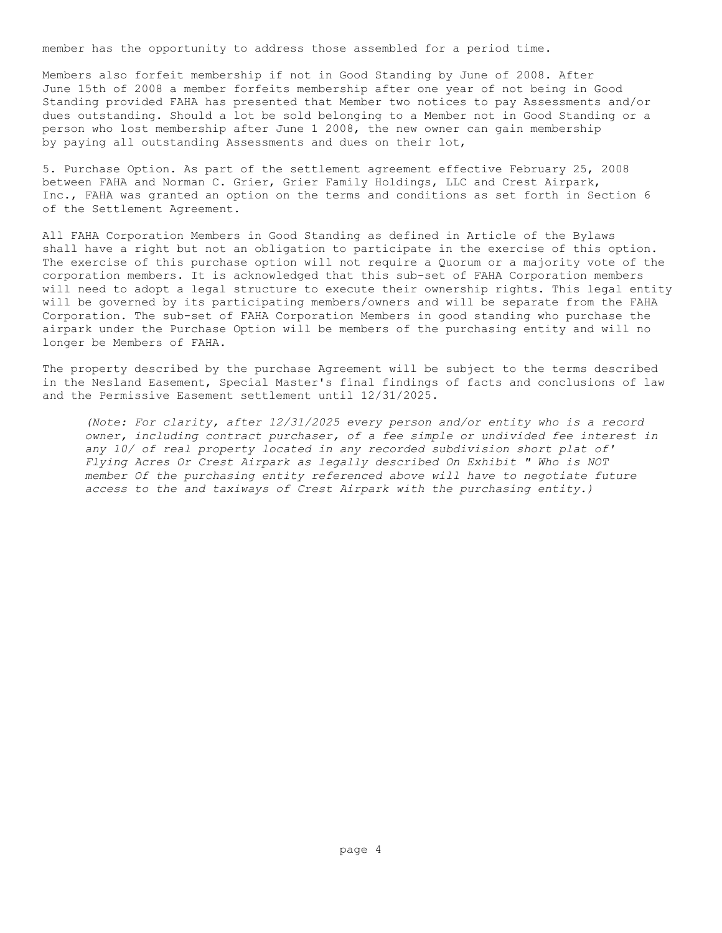member has the opportunity to address those assembled for a period time.

Members also forfeit membership if not in Good Standing by June of 2008. After June 15th of 2008 a member forfeits membership after one year of not being in Good Standing provided FAHA has presented that Member two notices to pay Assessments and/or dues outstanding. Should a lot be sold belonging to a Member not in Good Standing or a person who lost membership after June 1 2008, the new owner can gain membership by paying all outstanding Assessments and dues on their lot,

5. Purchase Option. As part of the settlement agreement effective February 25, 2008 between FAHA and Norman C. Grier, Grier Family Holdings, LLC and Crest Airpark, Inc., FAHA was granted an option on the terms and conditions as set forth in Section 6 of the Settlement Agreement.

All FAHA Corporation Members in Good Standing as defined in Article of the Bylaws shall have a right but not an obligation to participate in the exercise of this option. The exercise of this purchase option will not require a Quorum or a majority vote of the corporation members. It is acknowledged that this sub-set of FAHA Corporation members will need to adopt a legal structure to execute their ownership rights. This legal entity will be governed by its participating members/owners and will be separate from the FAHA Corporation. The sub-set of FAHA Corporation Members in good standing who purchase the airpark under the Purchase Option will be members of the purchasing entity and will no longer be Members of FAHA.

The property described by the purchase Agreement will be subject to the terms described in the Nesland Easement, Special Master's final findings of facts and conclusions of law and the Permissive Easement settlement until 12/31/2025.

*(Note: For clarity, after 12/31/2025 every person and/or entity who is a record owner, including contract purchaser, of a fee simple or undivided fee interest in any 10/ of real property located in any recorded subdivision short plat of' Flying Acres Or Crest Airpark as legally described On Exhibit " Who is NOT member Of the purchasing entity referenced above will have to negotiate future access to the and taxiways of Crest Airpark with the purchasing entity.)*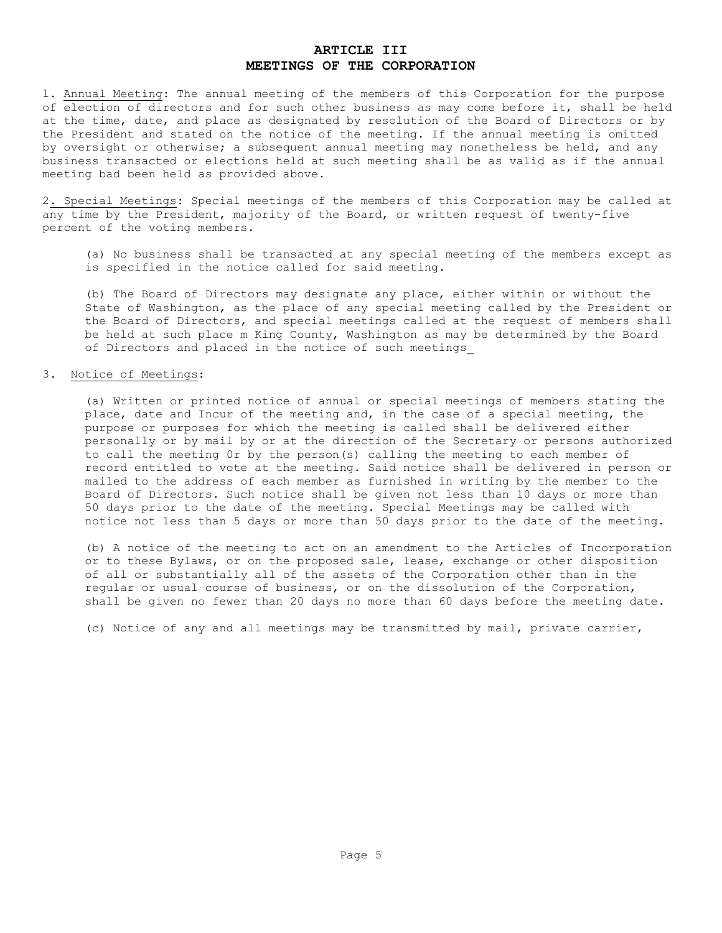# **ARTICLE III MEETINGS OF THE CORPORATION**

l. Annual Meeting: The annual meeting of the members of this Corporation for the purpose of election of directors and for such other business as may come before it, shall be held at the time, date, and place as designated by resolution of the Board of Directors or by the President and stated on the notice of the meeting. If the annual meeting is omitted by oversight or otherwise; a subsequent annual meeting may nonetheless be held, and any business transacted or elections held at such meeting shall be as valid as if the annual meeting bad been held as provided above.

2. Special Meetings: Special meetings of the members of this Corporation may be called at any time by the President, majority of the Board, or written request of twenty-five percent of the voting members.

(a) No business shall be transacted at any special meeting of the members except as is specified in the notice called for said meeting.

(b) The Board of Directors may designate any place, either within or without the State of Washington, as the place of any special meeting called by the President or the Board of Directors, and special meetings called at the request of members shall be held at such place m King County, Washington as may be determined by the Board of Directors and placed in the notice of such meetings\_

## 3. Notice of Meetings:

(a) Written or printed notice of annual or special meetings of members stating the place, date and Incur of the meeting and, in the case of a special meeting, the purpose or purposes for which the meeting is called shall be delivered either personally or by mail by or at the direction of the Secretary or persons authorized to call the meeting 0r by the person(s) calling the meeting to each member of record entitled to vote at the meeting. Said notice shall be delivered in person or mailed to the address of each member as furnished in writing by the member to the Board of Directors. Such notice shall be given not less than 10 days or more than 50 days prior to the date of the meeting. Special Meetings may be called with notice not less than 5 days or more than 50 days prior to the date of the meeting.

(b) A notice of the meeting to act on an amendment to the Articles of Incorporation or to these Bylaws, or on the proposed sale, lease, exchange or other disposition of all or substantially all of the assets of the Corporation other than in the regular or usual course of business, or on the dissolution of the Corporation, shall be given no fewer than 20 days no more than 60 days before the meeting date.

(c) Notice of any and all meetings may be transmitted by mail, private carrier,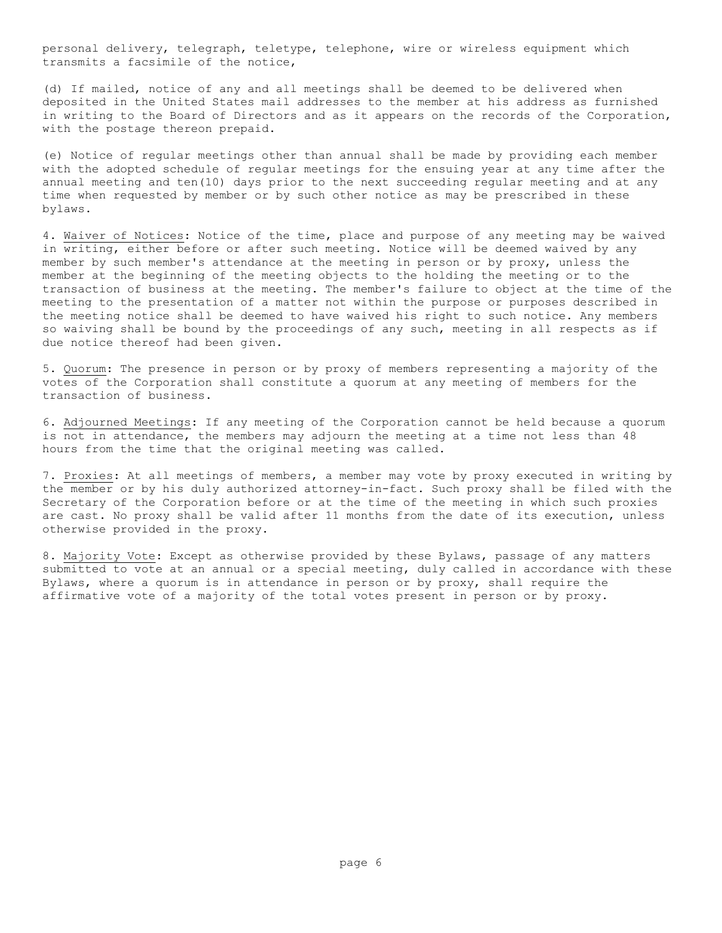personal delivery, telegraph, teletype, telephone, wire or wireless equipment which transmits a facsimile of the notice,

(d) If mailed, notice of any and all meetings shall be deemed to be delivered when deposited in the United States mail addresses to the member at his address as furnished in writing to the Board of Directors and as it appears on the records of the Corporation, with the postage thereon prepaid.

(e) Notice of regular meetings other than annual shall be made by providing each member with the adopted schedule of regular meetings for the ensuing year at any time after the annual meeting and ten(10) days prior to the next succeeding regular meeting and at any time when requested by member or by such other notice as may be prescribed in these bylaws.

4. Waiver of Notices: Notice of the time, place and purpose of any meeting may be waived in writing, either before or after such meeting. Notice will be deemed waived by any member by such member's attendance at the meeting in person or by proxy, unless the member at the beginning of the meeting objects to the holding the meeting or to the transaction of business at the meeting. The member's failure to object at the time of the meeting to the presentation of a matter not within the purpose or purposes described in the meeting notice shall be deemed to have waived his right to such notice. Any members so waiving shall be bound by the proceedings of any such, meeting in all respects as if due notice thereof had been given.

5. Quorum: The presence in person or by proxy of members representing a majority of the votes of the Corporation shall constitute a quorum at any meeting of members for the transaction of business.

6. Adjourned Meetings: If any meeting of the Corporation cannot be held because a quorum is not in attendance, the members may adjourn the meeting at a time not less than 48 hours from the time that the original meeting was called.

7. Proxies: At all meetings of members, a member may vote by proxy executed in writing by the member or by his duly authorized attorney-in-fact. Such proxy shall be filed with the Secretary of the Corporation before or at the time of the meeting in which such proxies are cast. No proxy shall be valid after 11 months from the date of its execution, unless otherwise provided in the proxy.

8. Majority Vote: Except as otherwise provided by these Bylaws, passage of any matters submitted to vote at an annual or a special meeting, duly called in accordance with these Bylaws, where a quorum is in attendance in person or by proxy, shall require the affirmative vote of a majority of the total votes present in person or by proxy.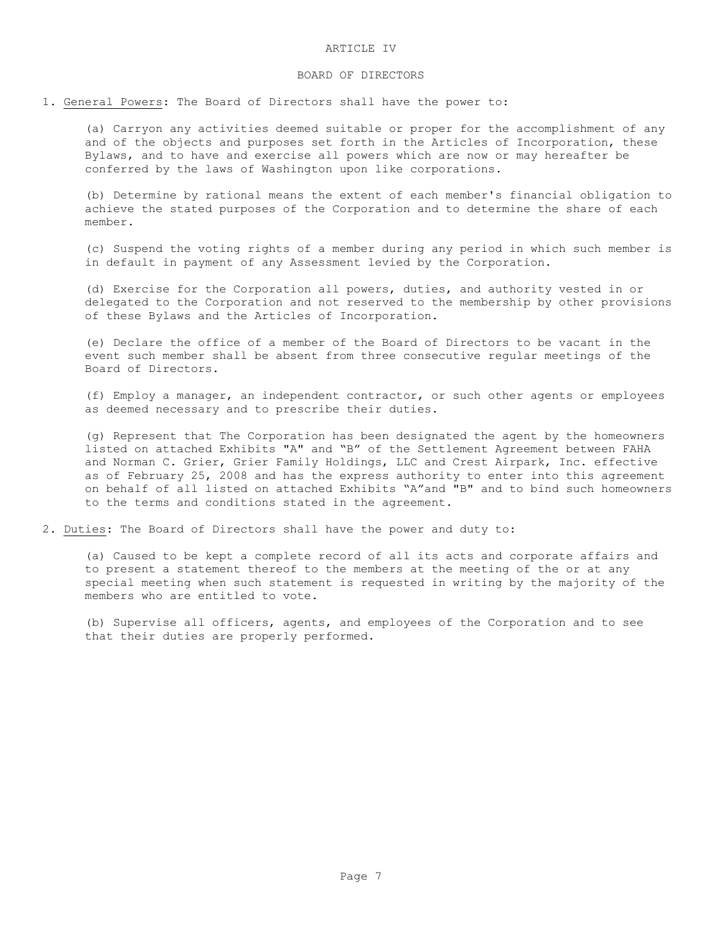### BOARD OF DIRECTORS

1. General Powers: The Board of Directors shall have the power to:

(a) Carryon any activities deemed suitable or proper for the accomplishment of any and of the objects and purposes set forth in the Articles of Incorporation, these Bylaws, and to have and exercise all powers which are now or may hereafter be conferred by the laws of Washington upon like corporations.

(b) Determine by rational means the extent of each member's financial obligation to achieve the stated purposes of the Corporation and to determine the share of each member.

(c) Suspend the voting rights of a member during any period in which such member is in default in payment of any Assessment levied by the Corporation.

(d) Exercise for the Corporation all powers, duties, and authority vested in or delegated to the Corporation and not reserved to the membership by other provisions of these Bylaws and the Articles of Incorporation.

(e) Declare the office of a member of the Board of Directors to be vacant in the event such member shall be absent from three consecutive regular meetings of the Board of Directors.

(f) Employ a manager, an independent contractor, or such other agents or employees as deemed necessary and to prescribe their duties.

(g) Represent that The Corporation has been designated the agent by the homeowners listed on attached Exhibits "A" and "B" of the Settlement Agreement between FAHA and Norman C. Grier, Grier Family Holdings, LLC and Crest Airpark, Inc. effective as of February 25, 2008 and has the express authority to enter into this agreement on behalf of all listed on attached Exhibits "A"and "B" and to bind such homeowners to the terms and conditions stated in the agreement.

2. Duties: The Board of Directors shall have the power and duty to:

(a) Caused to be kept a complete record of all its acts and corporate affairs and to present a statement thereof to the members at the meeting of the or at any special meeting when such statement is requested in writing by the majority of the members who are entitled to vote.

(b) Supervise all officers, agents, and employees of the Corporation and to see that their duties are properly performed.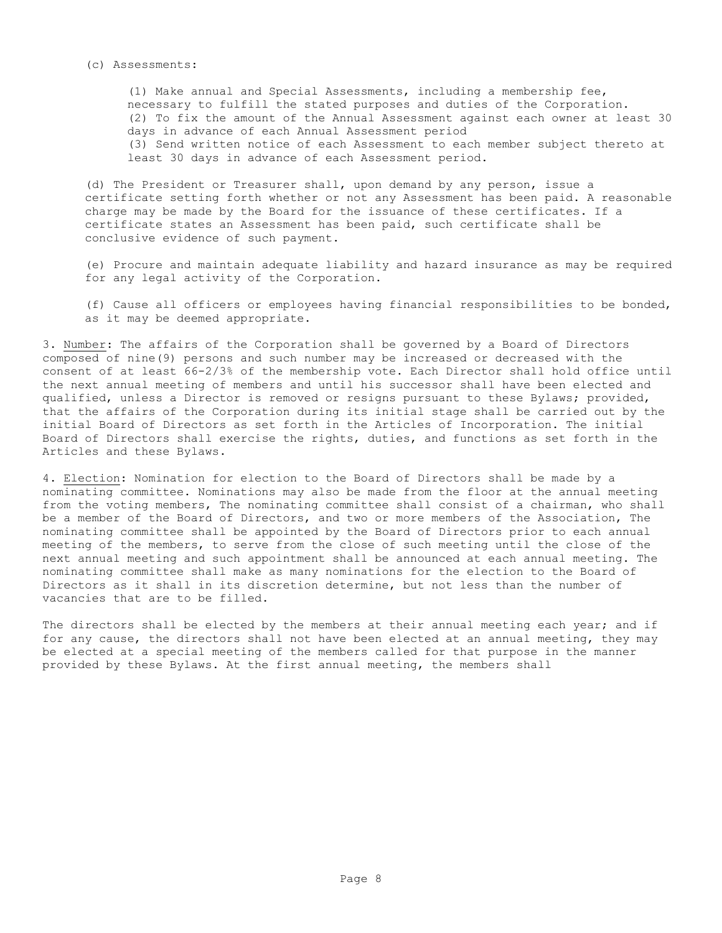#### (c) Assessments:

(1) Make annual and Special Assessments, including a membership fee, necessary to fulfill the stated purposes and duties of the Corporation. (2) To fix the amount of the Annual Assessment against each owner at least 30 days in advance of each Annual Assessment period (3) Send written notice of each Assessment to each member subject thereto at least 30 days in advance of each Assessment period.

(d) The President or Treasurer shall, upon demand by any person, issue a certificate setting forth whether or not any Assessment has been paid. A reasonable charge may be made by the Board for the issuance of these certificates. If a certificate states an Assessment has been paid, such certificate shall be conclusive evidence of such payment.

(e) Procure and maintain adequate liability and hazard insurance as may be required for any legal activity of the Corporation.

(f) Cause all officers or employees having financial responsibilities to be bonded, as it may be deemed appropriate.

3. Number: The affairs of the Corporation shall be governed by a Board of Directors composed of nine(9) persons and such number may be increased or decreased with the consent of at least 66-2/3% of the membership vote. Each Director shall hold office until the next annual meeting of members and until his successor shall have been elected and qualified, unless a Director is removed or resigns pursuant to these Bylaws; provided, that the affairs of the Corporation during its initial stage shall be carried out by the initial Board of Directors as set forth in the Articles of Incorporation. The initial Board of Directors shall exercise the rights, duties, and functions as set forth in the Articles and these Bylaws.

4. Election: Nomination for election to the Board of Directors shall be made by a nominating committee. Nominations may also be made from the floor at the annual meeting from the voting members, The nominating committee shall consist of a chairman, who shall be a member of the Board of Directors, and two or more members of the Association, The nominating committee shall be appointed by the Board of Directors prior to each annual meeting of the members, to serve from the close of such meeting until the close of the next annual meeting and such appointment shall be announced at each annual meeting. The nominating committee shall make as many nominations for the election to the Board of Directors as it shall in its discretion determine, but not less than the number of vacancies that are to be filled.

The directors shall be elected by the members at their annual meeting each year; and if for any cause, the directors shall not have been elected at an annual meeting, they may be elected at a special meeting of the members called for that purpose in the manner provided by these Bylaws. At the first annual meeting, the members shall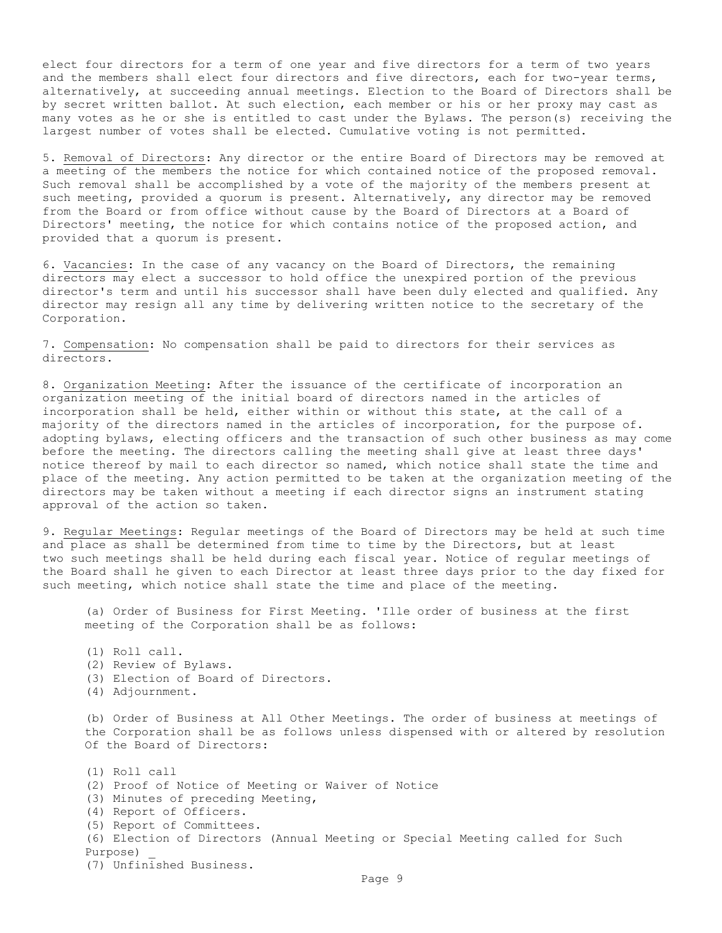elect four directors for a term of one year and five directors for a term of two years and the members shall elect four directors and five directors, each for two-year terms, alternatively, at succeeding annual meetings. Election to the Board of Directors shall be by secret written ballot. At such election, each member or his or her proxy may cast as many votes as he or she is entitled to cast under the Bylaws. The person(s) receiving the largest number of votes shall be elected. Cumulative voting is not permitted.

5. Removal of Directors: Any director or the entire Board of Directors may be removed at a meeting of the members the notice for which contained notice of the proposed removal. Such removal shall be accomplished by a vote of the majority of the members present at such meeting, provided a quorum is present. Alternatively, any director may be removed from the Board or from office without cause by the Board of Directors at a Board of Directors' meeting, the notice for which contains notice of the proposed action, and provided that a quorum is present.

6. Vacancies: In the case of any vacancy on the Board of Directors, the remaining directors may elect a successor to hold office the unexpired portion of the previous director's term and until his successor shall have been duly elected and qualified. Any director may resign all any time by delivering written notice to the secretary of the Corporation.

7. Compensation: No compensation shall be paid to directors for their services as directors.

8. Organization Meeting: After the issuance of the certificate of incorporation an organization meeting of the initial board of directors named in the articles of incorporation shall be held, either within or without this state, at the call of a majority of the directors named in the articles of incorporation, for the purpose of. adopting bylaws, electing officers and the transaction of such other business as may come before the meeting. The directors calling the meeting shall give at least three days' notice thereof by mail to each director so named, which notice shall state the time and place of the meeting. Any action permitted to be taken at the organization meeting of the directors may be taken without a meeting if each director signs an instrument stating approval of the action so taken.

9. Regular Meetings: Regular meetings of the Board of Directors may be held at such time and place as shall be determined from time to time by the Directors, but at least two such meetings shall be held during each fiscal year. Notice of regular meetings of the Board shall he given to each Director at least three days prior to the day fixed for such meeting, which notice shall state the time and place of the meeting.

(a) Order of Business for First Meeting. 'Ille order of business at the first meeting of the Corporation shall be as follows:

(1) Roll call.

(2) Review of Bylaws. (3) Election of Board of Directors. (4) Adjournment. (b) Order of Business at All Other Meetings. The order of business at meetings of the Corporation shall be as follows unless dispensed with or altered by resolution Of the Board of Directors: (1) Roll call (2) Proof of Notice of Meeting or Waiver of Notice (3) Minutes of preceding Meeting, (4) Report of Officers. (5) Report of Committees. (6) Election of Directors (Annual Meeting or Special Meeting called for Such Purpose) \_ (7) Unfinished Business. Page 9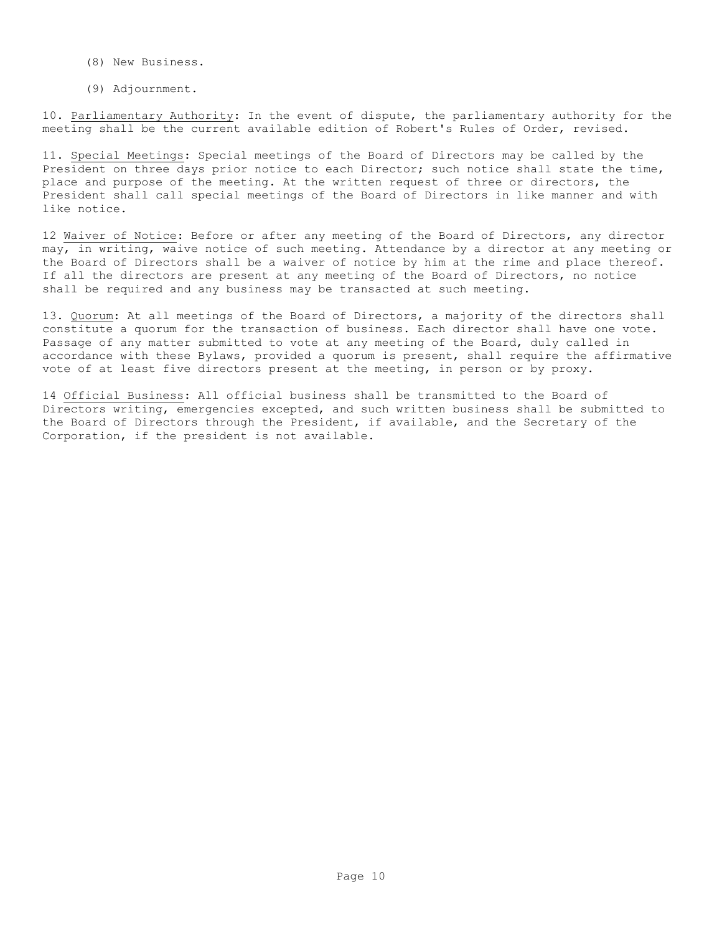- (8) New Business.
- (9) Adjournment.

10. Parliamentary Authority: In the event of dispute, the parliamentary authority for the meeting shall be the current available edition of Robert's Rules of Order, revised.

11. Special Meetings: Special meetings of the Board of Directors may be called by the President on three days prior notice to each Director; such notice shall state the time, place and purpose of the meeting. At the written request of three or directors, the President shall call special meetings of the Board of Directors in like manner and with like notice.

12 Waiver of Notice: Before or after any meeting of the Board of Directors, any director may, in writing, waive notice of such meeting. Attendance by a director at any meeting or the Board of Directors shall be a waiver of notice by him at the rime and place thereof. If all the directors are present at any meeting of the Board of Directors, no notice shall be required and any business may be transacted at such meeting.

13. Quorum: At all meetings of the Board of Directors, a majority of the directors shall constitute a quorum for the transaction of business. Each director shall have one vote. Passage of any matter submitted to vote at any meeting of the Board, duly called in accordance with these Bylaws, provided a quorum is present, shall require the affirmative vote of at least five directors present at the meeting, in person or by proxy.

14 Official Business: All official business shall be transmitted to the Board of Directors writing, emergencies excepted, and such written business shall be submitted to the Board of Directors through the President, if available, and the Secretary of the Corporation, if the president is not available.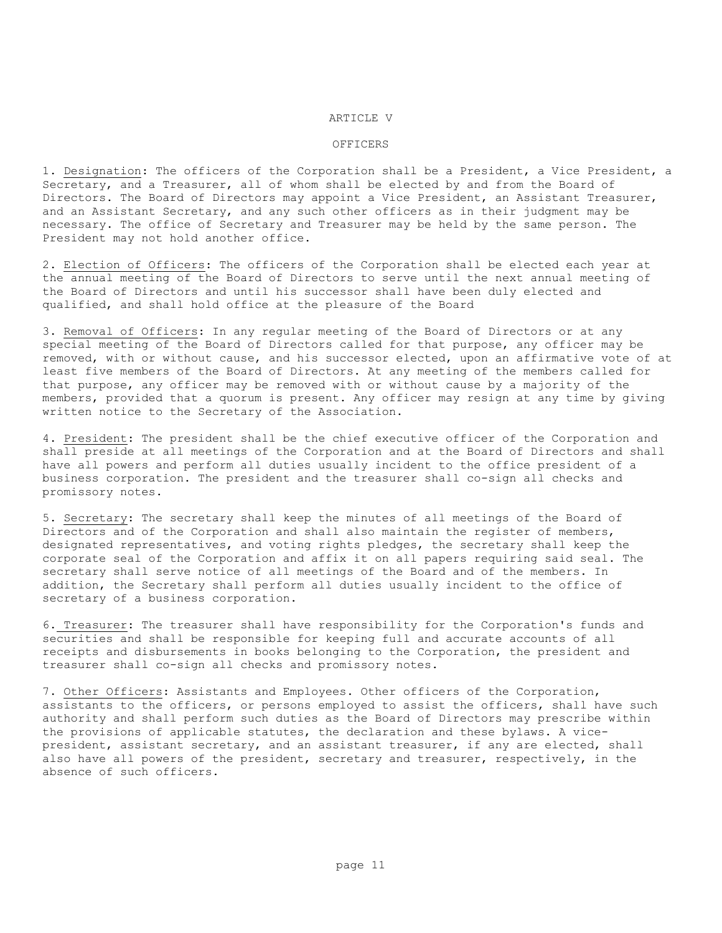#### ARTICLE V

### OFFICERS

1. Designation: The officers of the Corporation shall be a President, a Vice President, a Secretary, and a Treasurer, all of whom shall be elected by and from the Board of Directors. The Board of Directors may appoint a Vice President, an Assistant Treasurer, and an Assistant Secretary, and any such other officers as in their judgment may be necessary. The office of Secretary and Treasurer may be held by the same person. The President may not hold another office.

2. Election of Officers: The officers of the Corporation shall be elected each year at the annual meeting of the Board of Directors to serve until the next annual meeting of the Board of Directors and until his successor shall have been duly elected and qualified, and shall hold office at the pleasure of the Board

3. Removal of Officers: In any regular meeting of the Board of Directors or at any special meeting of the Board of Directors called for that purpose, any officer may be removed, with or without cause, and his successor elected, upon an affirmative vote of at least five members of the Board of Directors. At any meeting of the members called for that purpose, any officer may be removed with or without cause by a majority of the members, provided that a quorum is present. Any officer may resign at any time by giving written notice to the Secretary of the Association.

4. President: The president shall be the chief executive officer of the Corporation and shall preside at all meetings of the Corporation and at the Board of Directors and shall have all powers and perform all duties usually incident to the office president of a business corporation. The president and the treasurer shall co-sign all checks and promissory notes.

5. Secretary: The secretary shall keep the minutes of all meetings of the Board of Directors and of the Corporation and shall also maintain the register of members, designated representatives, and voting rights pledges, the secretary shall keep the corporate seal of the Corporation and affix it on all papers requiring said seal. The secretary shall serve notice of all meetings of the Board and of the members. In addition, the Secretary shall perform all duties usually incident to the office of secretary of a business corporation.

6. Treasurer: The treasurer shall have responsibility for the Corporation's funds and securities and shall be responsible for keeping full and accurate accounts of all receipts and disbursements in books belonging to the Corporation, the president and treasurer shall co-sign all checks and promissory notes.

7. Other Officers: Assistants and Employees. Other officers of the Corporation, assistants to the officers, or persons employed to assist the officers, shall have such authority and shall perform such duties as the Board of Directors may prescribe within the provisions of applicable statutes, the declaration and these bylaws. A vicepresident, assistant secretary, and an assistant treasurer, if any are elected, shall also have all powers of the president, secretary and treasurer, respectively, in the absence of such officers.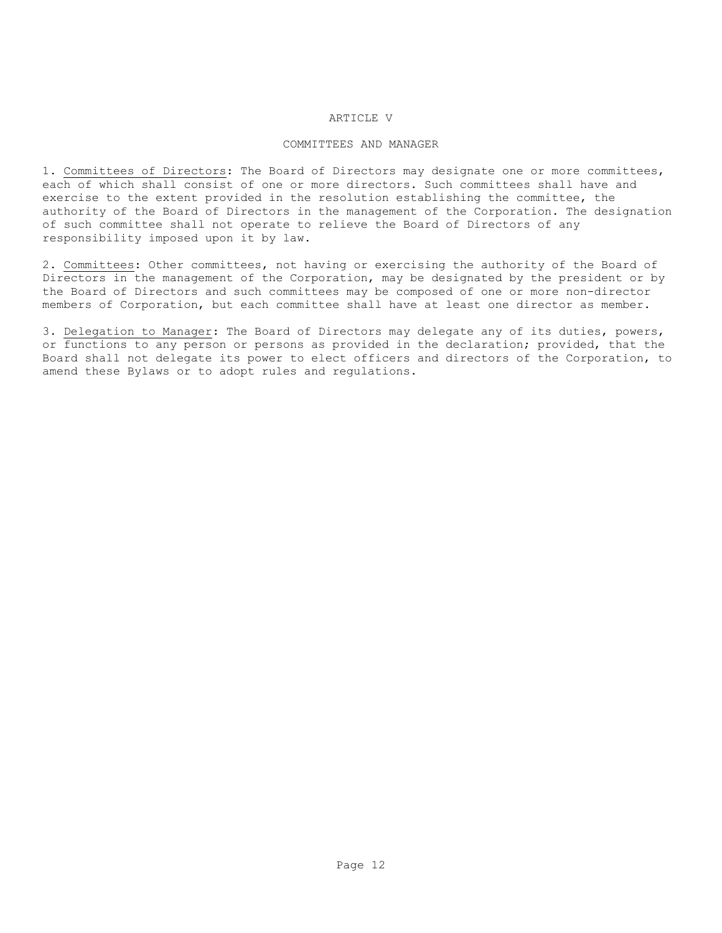## ARTICLE V

### COMMITTEES AND MANAGER

1. Committees of Directors: The Board of Directors may designate one or more committees, each of which shall consist of one or more directors. Such committees shall have and exercise to the extent provided in the resolution establishing the committee, the authority of the Board of Directors in the management of the Corporation. The designation of such committee shall not operate to relieve the Board of Directors of any responsibility imposed upon it by law.

2. Committees: Other committees, not having or exercising the authority of the Board of Directors in the management of the Corporation, may be designated by the president or by the Board of Directors and such committees may be composed of one or more non-director members of Corporation, but each committee shall have at least one director as member.

3. Delegation to Manager: The Board of Directors may delegate any of its duties, powers, or functions to any person or persons as provided in the declaration; provided, that the Board shall not delegate its power to elect officers and directors of the Corporation, to amend these Bylaws or to adopt rules and regulations.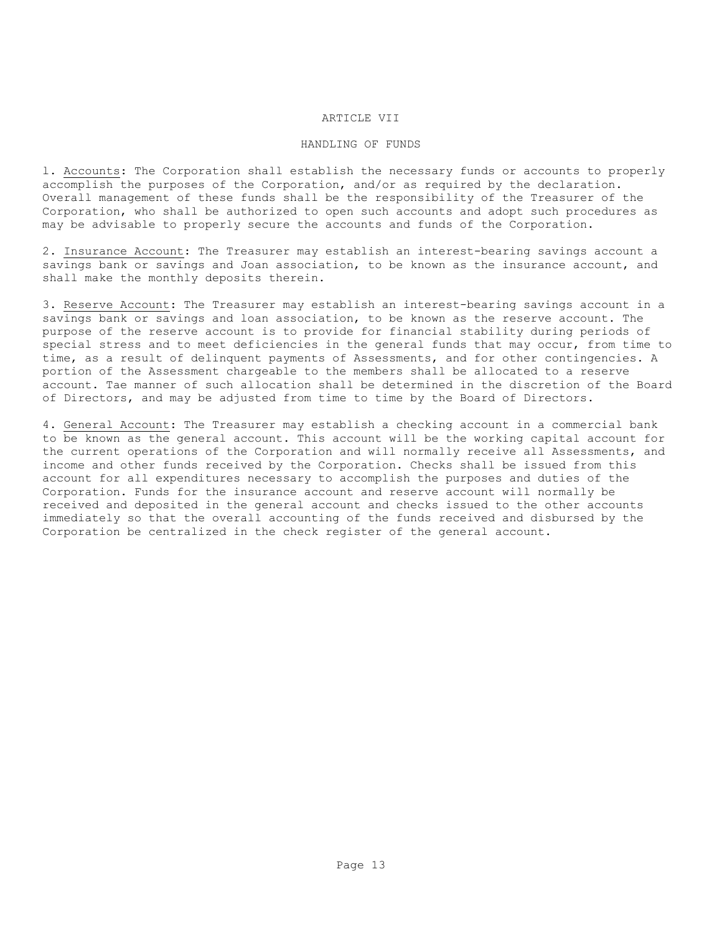# ARTICLE VII

#### HANDLING OF FUNDS

l. Accounts: The Corporation shall establish the necessary funds or accounts to properly accomplish the purposes of the Corporation, and/or as required by the declaration. Overall management of these funds shall be the responsibility of the Treasurer of the Corporation, who shall be authorized to open such accounts and adopt such procedures as may be advisable to properly secure the accounts and funds of the Corporation.

2. Insurance Account: The Treasurer may establish an interest-bearing savings account a savings bank or savings and Joan association, to be known as the insurance account, and shall make the monthly deposits therein.

3. Reserve Account: The Treasurer may establish an interest-bearing savings account in a savings bank or savings and loan association, to be known as the reserve account. The purpose of the reserve account is to provide for financial stability during periods of special stress and to meet deficiencies in the general funds that may occur, from time to time, as a result of delinquent payments of Assessments, and for other contingencies. A portion of the Assessment chargeable to the members shall be allocated to a reserve account. Tae manner of such allocation shall be determined in the discretion of the Board of Directors, and may be adjusted from time to time by the Board of Directors.

4. General Account: The Treasurer may establish a checking account in a commercial bank to be known as the general account. This account will be the working capital account for the current operations of the Corporation and will normally receive all Assessments, and income and other funds received by the Corporation. Checks shall be issued from this account for all expenditures necessary to accomplish the purposes and duties of the Corporation. Funds for the insurance account and reserve account will normally be received and deposited in the general account and checks issued to the other accounts immediately so that the overall accounting of the funds received and disbursed by the Corporation be centralized in the check register of the general account.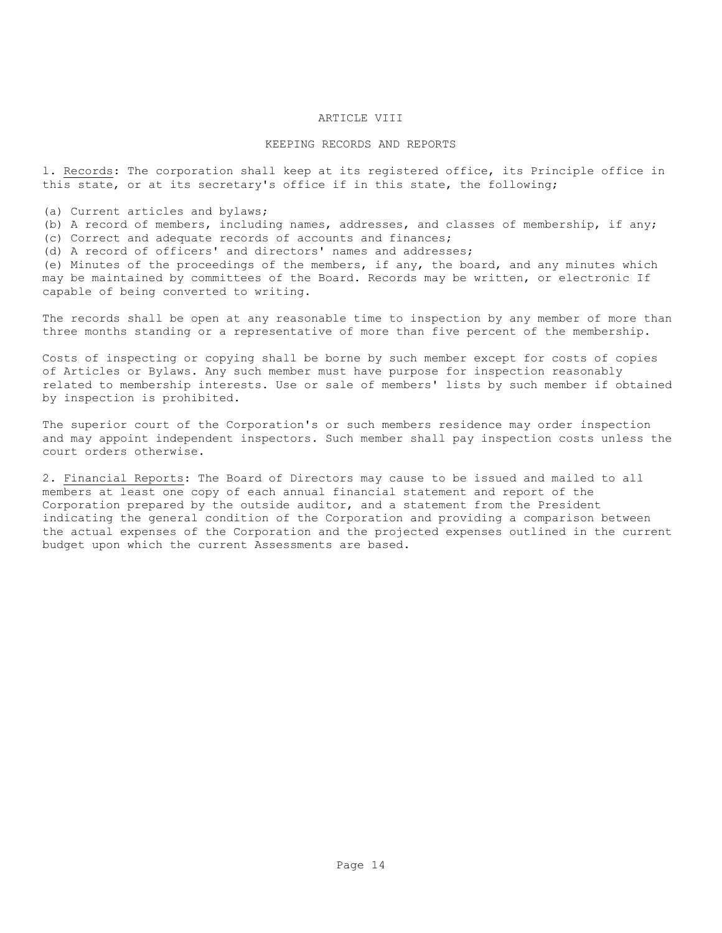# ARTICLE VIII

### KEEPING RECORDS AND REPORTS

l. Records: The corporation shall keep at its registered office, its Principle office in this state, or at its secretary's office if in this state, the following;

(a) Current articles and bylaws;

- (b) A record of members, including names, addresses, and classes of membership, if any;
- (c) Correct and adequate records of accounts and finances;
- (d) A record of officers' and directors' names and addresses;

(e) Minutes of the proceedings of the members, if any, the board, and any minutes which may be maintained by committees of the Board. Records may be written, or electronic If capable of being converted to writing.

The records shall be open at any reasonable time to inspection by any member of more than three months standing or a representative of more than five percent of the membership.

Costs of inspecting or copying shall be borne by such member except for costs of copies of Articles or Bylaws. Any such member must have purpose for inspection reasonably related to membership interests. Use or sale of members' lists by such member if obtained by inspection is prohibited.

The superior court of the Corporation's or such members residence may order inspection and may appoint independent inspectors. Such member shall pay inspection costs unless the court orders otherwise.

2. Financial Reports: The Board of Directors may cause to be issued and mailed to all members at least one copy of each annual financial statement and report of the Corporation prepared by the outside auditor, and a statement from the President indicating the general condition of the Corporation and providing a comparison between the actual expenses of the Corporation and the projected expenses outlined in the current budget upon which the current Assessments are based.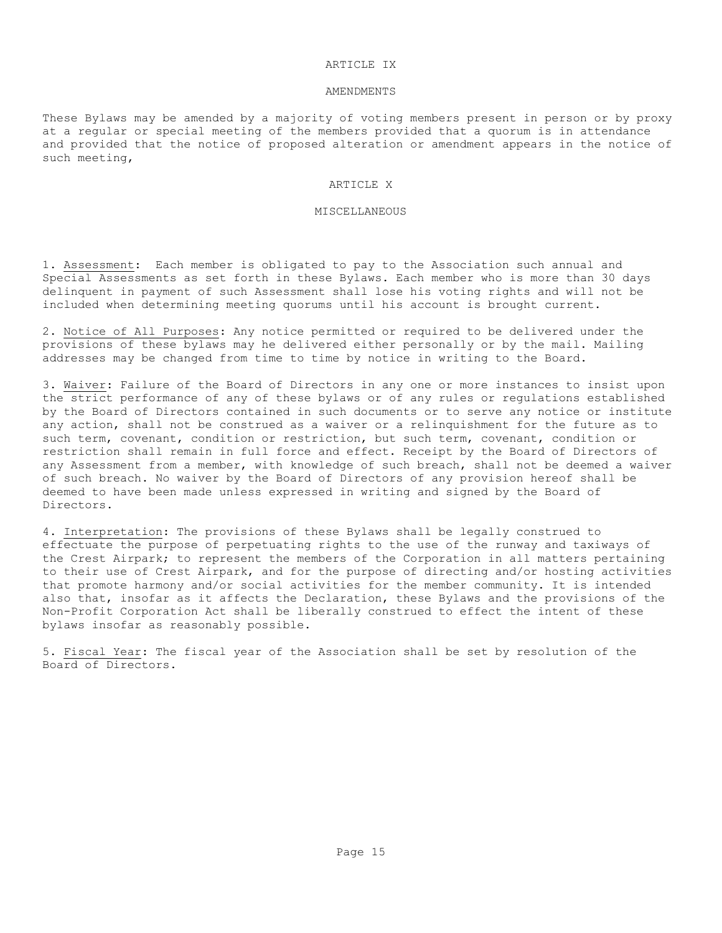#### ARTICLE IX

#### AMENDMENTS

These Bylaws may be amended by a majority of voting members present in person or by proxy at a regular or special meeting of the members provided that a quorum is in attendance and provided that the notice of proposed alteration or amendment appears in the notice of such meeting,

### ARTICLE X

#### MISCELLANEOUS

1. Assessment: Each member is obligated to pay to the Association such annual and Special Assessments as set forth in these Bylaws. Each member who is more than 30 days delinquent in payment of such Assessment shall lose his voting rights and will not be included when determining meeting quorums until his account is brought current.

2. Notice of All Purposes: Any notice permitted or required to be delivered under the provisions of these bylaws may he delivered either personally or by the mail. Mailing addresses may be changed from time to time by notice in writing to the Board.

3. Waiver: Failure of the Board of Directors in any one or more instances to insist upon the strict performance of any of these bylaws or of any rules or regulations established by the Board of Directors contained in such documents or to serve any notice or institute any action, shall not be construed as a waiver or a relinquishment for the future as to such term, covenant, condition or restriction, but such term, covenant, condition or restriction shall remain in full force and effect. Receipt by the Board of Directors of any Assessment from a member, with knowledge of such breach, shall not be deemed a waiver of such breach. No waiver by the Board of Directors of any provision hereof shall be deemed to have been made unless expressed in writing and signed by the Board of Directors.

4. Interpretation: The provisions of these Bylaws shall be legally construed to effectuate the purpose of perpetuating rights to the use of the runway and taxiways of the Crest Airpark; to represent the members of the Corporation in all matters pertaining to their use of Crest Airpark, and for the purpose of directing and/or hosting activities that promote harmony and/or social activities for the member community. It is intended also that, insofar as it affects the Declaration, these Bylaws and the provisions of the Non-Profit Corporation Act shall be liberally construed to effect the intent of these bylaws insofar as reasonably possible.

5. Fiscal Year: The fiscal year of the Association shall be set by resolution of the Board of Directors.